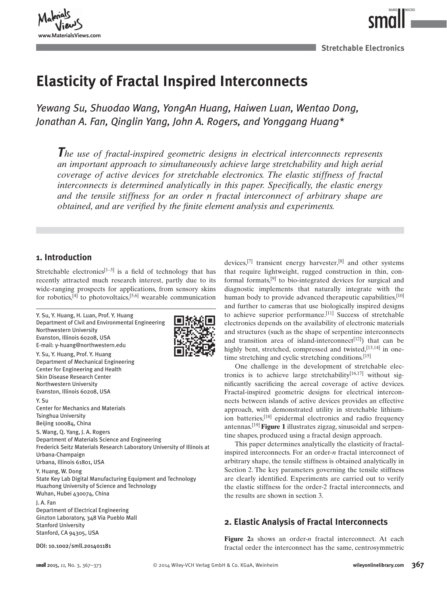

**Stretchable Electronics**

NAMO

**MICRO** 

## **Elasticity of Fractal Inspired Interconnects**

 *Yewang Su , Shuodao Wang , YongAn Huang , Haiwen Luan , Wentao Dong , Jonathan A. Fan , Qinglin Yang , John A. Rogers , and Yonggang Huang \**

 *The use of fractal-inspired geometric designs in electrical interconnects represents an important approach to simultaneously achieve large stretchability and high aerial coverage of active devices for stretchable electronics. The elastic stiffness of fractal interconnects is determined analytically in this paper. Specifically, the elastic energy and the tensile stiffness for an order n fractal interconnect of arbitrary shape are obtained, and are verified by the finite element analysis and experiments.* 

## **1. Introduction**

Stretchable electronics<sup>[1–3]</sup> is a field of technology that has recently attracted much research interest, partly due to its wide-ranging prospects for applications, from sensory skins for robotics,  $[4]$  to photovoltaics,  $[5,6]$  wearable communication



devices,  $[7]$  transient energy harvester,  $[8]$  and other systems that require lightweight, rugged construction in thin, conformal formats,  $[9]$  to bio-integrated devices for surgical and diagnostic implements that naturally integrate with the human body to provide advanced therapeutic capabilities.  $[10]$ and further to cameras that use biologically inspired designs to achieve superior performance.  $[11]$  Success of stretchable electronics depends on the availability of electronic materials and structures (such as the shape of serpentine interconnects and transition area of island-interconnect<sup>[12]</sup>) that can be highly bent, stretched, compressed and twisted,  $[13,14]$  in onetime stretching and cyclic stretching conditions.<sup>[15]</sup>

 One challenge in the development of stretchable electronics is to achieve large stretchability  $[16,17]$  without significantly sacrificing the aereal coverage of active devices. Fractal-inspired geometric designs for electrical interconnects between islands of active devices provides an effective approach, with demonstrated utility in stretchable lithiumion batteries,<sup>[18]</sup> epidermal electronics and radio frequency antennas.<sup>[19]</sup> Figure 1 illustrates zigzag, sinusoidal and serpentine shapes, produced using a fractal design approach.

 This paper determines analytically the elasticity of fractalinspired interconnects. For an order-*n* fractal interconnect of arbitrary shape, the tensile stiffness is obtained analytically in Section 2. The key parameters governing the tensile stiffness are clearly identified. Experiments are carried out to verify the elastic stiffness for the order-2 fractal interconnects, and the results are shown in section 3.

## **2. Elastic Analysis of Fractal Interconnects**

Figure 2a shows an order-n fractal interconnect. At each fractal order the interconnect has the same, centrosymmetric DOI: 10.1002/smll.201401181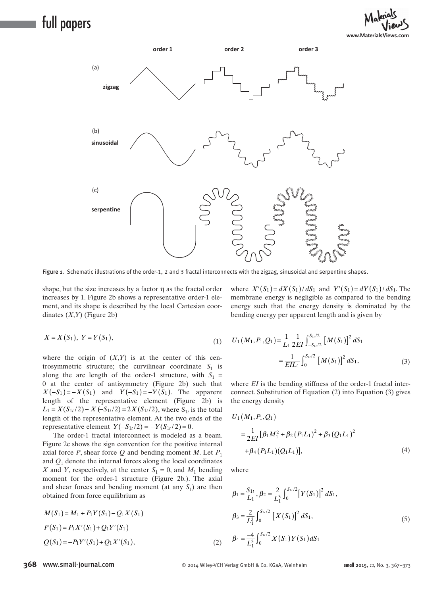## full papers





Figure 1. Schematic illustrations of the order-1, 2 and 3 fractal interconnects with the zigzag, sinusoidal and serpentine shapes.

shape, but the size increases by a factor  $\eta$  as the fractal order increases by 1. Figure 2b shows a representative order-1 element, and its shape is described by the local Cartesian coordinates  $(X, Y)$  (Figure 2b)

$$
X = X(S_1), \ Y = Y(S_1), \tag{1}
$$

where the origin of  $(X, Y)$  is at the center of this centrosymmetric structure; the curvilinear coordinate  $S_1$  is along the arc length of the order-1 structure, with  $S_1$  = 0 at the center of antisymmetry (Figure 2b) such that  $X(-S_1) = -X(S_1)$  and  $Y(-S_1) = -Y(S_1)$ . The apparent length of the representative element (Figure 2b) is  $L_1 = X(S_{1t}/2) - X(-S_{1t}/2) = 2X(S_{1t}/2)$ , where  $S_{1t}$  is the total length of the representative element. At the two ends of the representative element  $Y(-S_{1t}/2) = -Y(S_{1t}/2) = 0$ .

 The order-1 fractal interconnect is modeled as a beam. Figure 2c shows the sign convention for the positive internal axial force *P*, shear force *Q* and bending moment *M*. Let  $P_1$ and  $Q_1$  denote the internal forces along the local coordinates *X* and *Y*, respectively, at the center  $S_1 = 0$ , and  $M_1$  bending moment for the order-1 structure (Figure 2b.). The axial and shear forces and bending moment (at any  $S_1$ ) are then obtained from force equilibrium as

$$
M(S_1) = M_1 + P_1 Y(S_1) - Q_1 X(S_1)
$$
  
\n
$$
P(S_1) = P_1 X'(S_1) + Q_1 Y'(S_1)
$$
  
\n
$$
Q(S_1) = -P_1 Y'(S_1) + Q_1 X'(S_1),
$$
\n(2)

energy such that the energy density is dominated by the bending energy per apparent length and is given by

where  $X'(S_1) = dX(S_1)/dS_1$  and  $Y'(S_1) = dY(S_1)/dS_1$ . The membrane energy is negligible as compared to the bending

$$
U_1(M_1, P_1, Q_1) = \frac{1}{L_1} \frac{1}{2EI} \int_{-S_{1i}/2}^{S_{1i}/2} [M(S_1)]^2 dS_1
$$
  
= 
$$
\frac{1}{EIL_1} \int_0^{S_{1i}/2} [M(S_1)]^2 dS_1,
$$
 (3)

where *EI* is the bending stiffness of the order-1 fractal interconnect. Substitution of Equation  $(2)$  into Equation  $(3)$  gives the energy density

$$
U_1(M_1, P_1, Q_1)
$$
  
=  $\frac{1}{2EI} [\beta_1 M_1^2 + \beta_2 (P_1 L_1)^2 + \beta_3 (Q_1 L_1)^2$   
+  $\beta_4 (P_1 L_1) (Q_1 L_1)],$  (4)

where

$$
\beta_1 = \frac{S_{1t}}{L_1}, \beta_2 = \frac{2}{L_1^3} \int_0^{S_{1t}/2} \left[ Y(S_1) \right]^2 dS_1,
$$
  
\n
$$
\beta_3 = \frac{2}{L_1^3} \int_0^{S_{1t}/2} \left[ X(S_1) \right]^2 dS_1,
$$
  
\n
$$
\beta_4 = \frac{-4}{L_1^3} \int_0^{S_{1t}/2} X(S_1) Y(S_1) dS_1
$$
\n(5)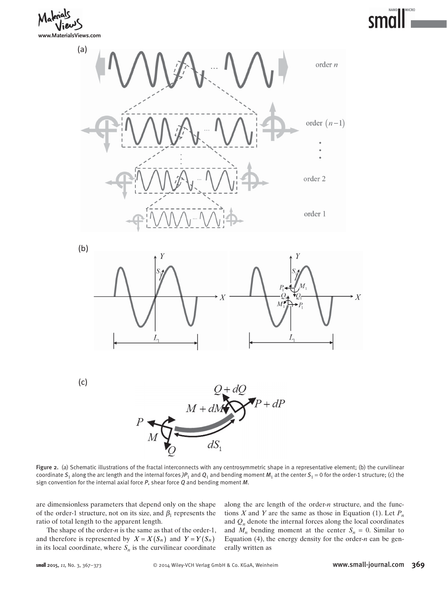**www.MaterialsViews.com**





Figure 2. (a) Schematic illustrations of the fractal interconnects with any centrosymmetric shape in a representative element; (b) the curvilinear coordinate  $S_1$  along the arc length and the internal forces  $)P_1$  and  $Q_1$  and bending moment  $M_1$  at the center  $S_1 = 0$  for the order-1 structure; (c) the sign convention for the internal axial force *P* , shear force *Q* and bending moment *M* .

 are dimensionless parameters that depend only on the shape of the order-1 structure, not on its size, and  $\beta_1$  represents the ratio of total length to the apparent length.

The shape of the order- $n$  is the same as that of the order-1, and therefore is represented by  $X = X(S_n)$  and  $Y = Y(S_n)$ in its local coordinate, where  $S_n$  is the curvilinear coordinate

along the arc length of the order-*n* structure, and the functions *X* and *Y* are the same as those in Equation (1). Let  $P_n$ and  $Q_n$  denote the internal forces along the local coordinates and  $M_n$  bending moment at the center  $S_n = 0$ . Similar to Equation (4), the energy density for the order- $n$  can be generally written as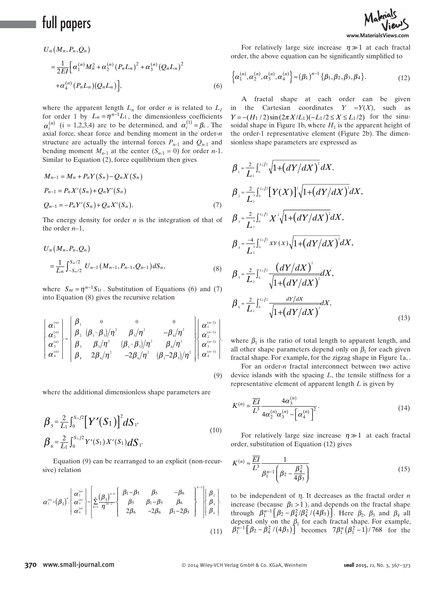# full papers

$$
U_n(M_n, P_n, Q_n)
$$
  
=  $\frac{1}{2EI} \Big[ \alpha_1^{(n)} M_n^2 + \alpha_2^{(n)} (P_n L_n)^2 + \alpha_3^{(n)} (Q_n L_n)^2$   
+  $\alpha_4^{(n)} (P_n L_n) (Q_n L_n) \Big],$  (6)

where the apparent length  $L_n$  for order *n* is related to  $L_1$ for order 1 by  $L_n = \eta^{n-1} L_1$ , the dimensionless coefficients  $\alpha_i$  (*i* 1,2,2,7,*i*) are to be determined, and  $\alpha_i$  *p*<sub>*i*</sub>. The axial force, shear force and bending moment in the order-*n*  $\alpha_i^{(n)}$  (i = 1,2,3,4) are to be determined, and  $\alpha_i^{(1)} = \beta_i$ . The structure are actually the internal forces  $P_{n-1}$  and  $Q_{n-1}$  and bending moment  $M_{n-1}$  at the center  $(S_{n-1} = 0)$  for order *n*-1. Similar to Equation  $(2)$ , force equilibrium then gives

$$
M_{n-1} = M_n + P_n Y(S_n) - Q_n X(S_n)
$$
  
\n
$$
P_{n-1} = P_n X'(S_n) + Q_n Y'(S_n)
$$
  
\n
$$
Q_{n-1} = -P_n Y'(S_n) + Q_n X'(S_n).
$$
\n(7)

The energy density for order *n* is the integration of that of the order  $n-1$ ,

$$
U_n(M_n, P_n, Q_n)
$$
  
=  $\frac{1}{L_n} \int_{-S_{n/2}}^{S_{n/2}} U_{n-1}(M_{n-1}, P_{n-1}, Q_{n-1}) dS_n,$  (8)

where  $S_{nt} = \eta^{n-1} S_{1t}$ . Substitution of Equations (6) and (7) into Equation  $(8)$  gives the recursive relation

$$
\begin{bmatrix}\n\alpha_1^{(n)} \\
\alpha_2^{(n)} \\
\alpha_3^{(n)} \\
\alpha_4^{(n)}\n\end{bmatrix} =\n\begin{bmatrix}\n\beta_1 & 0 & 0 & 0 \\
\beta_2 & (\beta_1 - \beta_3)/\eta^2 & \beta_5/\eta^2 & -\beta_6/\eta^2 \\
\beta_3 & \beta_5/\eta^2 & (\beta_1 - \beta_5)/\eta^2 & \beta_6/\eta^2 \\
\beta_4 & 2\beta_6/\eta^2 & -2\beta_6/\eta^2 & (\beta_1 - 2\beta_5)/\eta^2\n\end{bmatrix}\n\begin{bmatrix}\n\alpha_1^{(n-1)} \\
\alpha_2^{(n-1)} \\
\alpha_3^{(n-1)} \\
\alpha_4^{(n-1)}\n\end{bmatrix},
$$
\n(9)

where the additional dimensionless shape parameters are

$$
\beta_{5} = \frac{2}{L_{1}} \int_{0}^{S_{1}/2} \left[ Y'(S_{1}) \right]^{2} dS_{1},
$$
\n
$$
\beta_{6} = \frac{2}{L_{1}} \int_{0}^{S_{1}/2} Y'(S_{1}) X'(S_{1}) dS_{1}.
$$
\n(10)

Equation (9) can be rearranged to an explicit (non-recursive) relation

$$
\boldsymbol{\alpha}_{1}^{(n)} = (\boldsymbol{\beta}_{1})^{n}, \begin{bmatrix} \boldsymbol{\alpha}_{2}^{(n)} \\ \boldsymbol{\alpha}_{3}^{(n)} \\ \boldsymbol{\alpha}_{4}^{(n)} \end{bmatrix} = \begin{bmatrix} \sum_{k=1}^{n} (\frac{\boldsymbol{\beta}_{1}}{n})^{n-k} \begin{bmatrix} \beta_{1} - \beta_{5} & \beta_{5} & -\beta_{6} \\ \beta_{5} & \beta_{1} - \beta_{5} & \beta_{6} \\ 2\beta_{6} & -2\beta_{6} & \beta_{1} - 2\beta_{5} \end{bmatrix}^{k-1} \begin{bmatrix} \beta_{2} \\ \beta_{3} \\ \beta_{4} \end{bmatrix}.
$$
\n(11)



For relatively large size increase  $\eta \gg 1$  at each fractal order, the above equation can be significantly simplified to

$$
\left\{\alpha_1^{(n)}, \alpha_2^{(n)}, \alpha_3^{(n)}, \alpha_4^{(n)}\right\} \approx (\beta_1)^{n-1} \left\{\beta_1, \beta_2, \beta_3, \beta_4\right\}.
$$
 (12)

 A fractal shape at each order can be given in the Cartesian coordinates  $Y = Y(X)$ , such as  $Y = -(H_1 / 2) \sin((2 \pi X / L_1) - L_1 / 2 \le X \le L_1 / 2)$  for the sinusoidal shape in Figure 1b, where  $H_1$  is the apparent height of the order-1 representative element (Figure 2b). The dimensionless shape parameters are expressed as

$$
\beta_{1} = \frac{2}{L_{1}} \int_{0}^{L_{1}/2} \sqrt{1 + (dY/dX)^{2}} dX,
$$
\n
$$
\beta_{2} = \frac{2}{L_{1}} \int_{0}^{L_{1}/2} [Y(X)]^{2} \sqrt{1 + (dY/dX)^{2}} dX,
$$
\n
$$
\beta_{3} = \frac{2}{L_{1}} \int_{0}^{L_{1}/2} X^{2} \sqrt{1 + (dY/dX)^{2}} dX,
$$
\n
$$
\beta_{4} = \frac{-4}{L_{1}} \int_{0}^{L_{1}/2} XY(X) \sqrt{1 + (dY/dX)^{2}} dX,
$$
\n
$$
\beta_{5} = \frac{2}{L_{1}} \int_{0}^{L_{1}/2} \frac{(dY/dX)^{2}}{\sqrt{1 + (dY/dX)^{2}}} dX,
$$
\n
$$
\beta_{6} = \frac{2}{L_{1}} \int_{0}^{L_{1}/2} \frac{dY/dX}{\sqrt{1 + (dY/dX)^{2}}} dX,
$$
\n(13)

where  $\beta_1$  is the ratio of total length to apparent length, and all other shape parameters depend only on  $\beta_1$  for each given fractal shape. For example, for the zigzag shape in Figure 1a,.

For an order-*n* fractal interconnect between two active device islands with the spacing *L*, the tensile stiffness for a representative element of apparent length *L* is given by

$$
K^{(n)} = \frac{\overline{EI}}{L^3} \frac{4\alpha_3^{(n)}}{4\alpha_2^{(n)}\alpha_3^{(n)} - \left[\alpha_4^{(n)}\right]^2}.
$$
 (14)

For relatively large size increase  $\eta \gg 1$  at each fractal order, substitution of Equation ( 12) gives

$$
K^{(n)} \approx \frac{\overline{EI}}{L^3} \frac{1}{\beta_1^{n-1} \left(\beta_2 - \frac{\beta_4^2}{4\beta_3}\right)}
$$
(15)

 to be independent of η . It decreases as the fractal order *n* increase (because  $\beta_1 > 1$ ), and depends on the fractal shape through  $\beta_1^{n-1} [\beta_2 - \beta_4^2/\beta_4^2/(4\beta_3)]$ . Here  $\beta_2$ ,  $\beta_3$  and  $\beta_4$  all depend only on the  $\beta_1$  for each fractal shape. For example,  $\beta_1^{n-1} [\beta_2 - \beta_4^2 / (4 \beta_3)]$  becomes  $7 \beta_1^n (\beta_1^2 - 1) / 768$  for the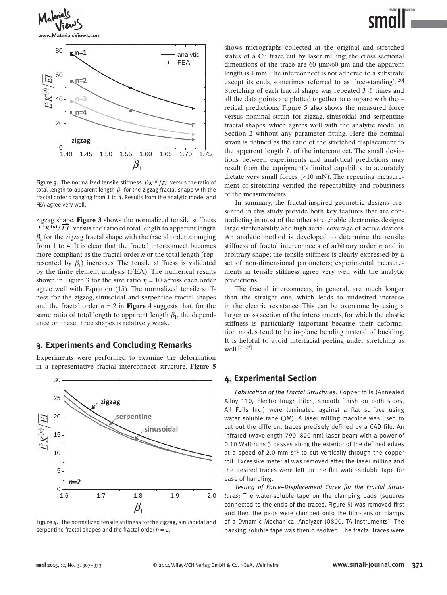

**www.MaterialsViews.com**



Figure 3. The normalized tensile stiffness  $\frac{1}{2}K^{(n)}/\overline{EI}$  versus the ratio of total length to apparent length  $\beta_1$  for the zigzag fractal shape with the fractal order *n* ranging from 1 to 4. Results from the analytic model and FEA agree very well.

zigzag shape. **Figure 3** shows the normalized tensile stiffness  $\overline{L^3}K^{(n)}/\overline{EI}$  versus the ratio of total length to apparent length  $\beta_1$  for the zigzag fractal shape with the fractal order *n* ranging from 1 to 4. It is clear that the fractal interconnect becomes more compliant as the fractal order *n* or the total length (represented by  $\beta_1$  increases. The tensile stiffness is validated by the finite element analysis (FEA). The numerical results shown in Figure 3 for the size ratio  $\eta = 10$  across each order agree well with Equation (15). The normalized tensile stiffness for the zigzag, sinusoidal and serpentine fractal shapes and the fractal order  $n = 2$  in **Figure 4** suggests that, for the same ratio of total length to apparent length  $\beta_1$ , the dependence on these three shapes is relatively weak.

## **3. Experiments and Concluding Remarks**

 Experiments were performed to examine the deformation in a representative fractal interconnect structure. **Figure 5**



Figure 4. The normalized tensile stiffness for the zigzag, sinusoidal and serpentine fractal shapes and the fractal order *n* = 2.

shows micrographs collected at the original and stretched states of a Cu trace cut by laser milling; the cross sectional dimensions of the trace are 60 μm×60 μm and the apparent length is 4 mm. The interconnect is not adhered to a substrate except its ends, sometimes referred to as 'free-standing'.  $[20]$ Stretching of each fractal shape was repeated 3∼5 times and all the data points are plotted together to compare with theoretical predictions. Figure 5 also shows the measured force versus nominal strain for zigzag, sinusoidal and serpentine fractal shapes, which agrees well with the analytic model in Section 2 without any parameter fitting. Here the nominal strain is defined as the ratio of the stretched displacement to the apparent length *L* of the interconnect. The small deviations between experiments and analytical predictions may result from the equipment's limited capability to accurately dictate very small forces (<10 mN). The repeating measurement of stretching verified the repeatability and robustness

 In summary, the fractal-inspired geometric designs presented in this study provide both key features that are contradicting in most of the other stretchable electronics designs: large stretchability and high aerial coverage of active devices. An analytic method is developed to determine the tensile stiffness of fractal interconnects of arbitrary order *n* and in arbitrary shape; the tensile stiffness is clearly expressed by a set of non-dimensional parameters; experimental measurements in tensile stiffness agree very well with the analytic predictions.

 The fractal interconnects, in general, are much longer than the straight one, which leads to undesired increase in the electric resistance. This can be overcome by using a larger cross section of the interconnects, for which the elastic stiffness is particularly important because their deformation modes tend to be in-plane bending instead of buckling. It is helpful to avoid interfacial peeling under stretching as  $well.$  [21,22]

#### **4. Experimental Section**

of the measurements.

Fabrication of the Fractal Structures: Copper foils (Annealed Alloy 110, Electro Tough Pitch, smooth finish on both sides, All Foils Inc.) were laminated against a flat surface using water soluble tape (3M). A laser milling machine was used to cut out the different traces precisely defined by a CAD file. An infrared (wavelength 790∼820 nm) laser beam with a power of 0.10 Watt runs 3 passes along the exterior of the defined edges at a speed of 2.0 mm  $s^{-1}$  to cut vertically through the copper foil. Excessive material was removed after the laser milling and the desired traces were left on the flat water-soluble tape for ease of handling.

*Testing of Force–Displacement Curve for the Fractal Structures*: The water-soluble tape on the clamping pads (squares connected to the ends of the traces, Figure 5) was removed first and then the pads were clamped onto the film-tension clamps of a Dynamic Mechanical Analyzer (Q800, TA Instruments). The backing soluble tape was then dissolved. The fractal traces were

MICRO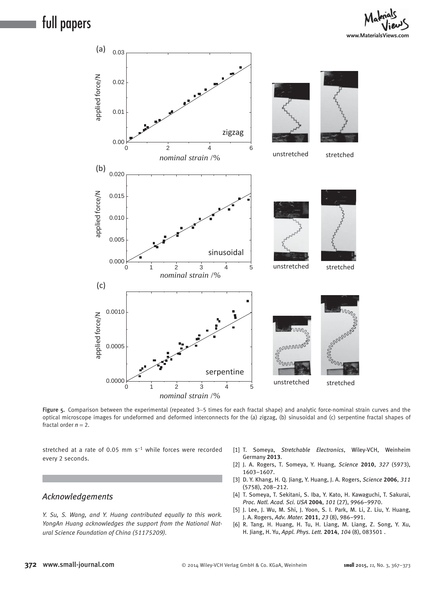full papers





Figure 5. Comparison between the experimental (repeated 3∼5 times for each fractal shape) and analytic force-nominal strain curves and the optical microscope images for undeformed and deformed interconnects for the (a) zigzag, (b) sinusoidal and (c) serpentine fractal shapes of fractal order  $n = 2$ .

stretched at a rate of 0.05 mm  $s^{-1}$  while forces were recorded every 2 seconds.

## *Acknowledgements*

 *Y. Su, S. Wang, and Y. Huang contributed equally to this work. YongAn Huang acknowledges the support from the National Natural Science Foundation of China (51175209).* 

- [1] T. Someya, Stretchable Electronics, Wiley-VCH, Weinheim Germany **2013** .
- [2] J. A. Rogers, T. Someya, Y. Huang, *Science* 2010, 327 (5973), 1603-1607.
- [3] D. Y. Khang, H. Q. Jiang, Y. Huang, J. A. Rogers, *Science* 2006, 311 ( 5758), 208 – 212.
- [4] T. Someya, T. Sekitani, S. Iba, Y. Kato, H. Kawaguchi, T. Sakurai, *Proc. Natl. Acad. Sci. USA* **2004** , *101* ( 27 ), 9966 – 9970 .
- [5] J. Lee, J. Wu, M. Shi, J. Yoon, S. I. Park, M. Li, Z. Liu, Y. Huang, J. A. Rogers , *Adv. Mater.* **2011** , *23* ( 8 ), 986 – 991 .
- [6] R. Tang, H. Huang, H. Tu, H. Liang, M. Liang, Z. Song, Y. Xu, H. Jiang, H. Yu, Appl. Phys. Lett. 2014, 104 (8), 083501.